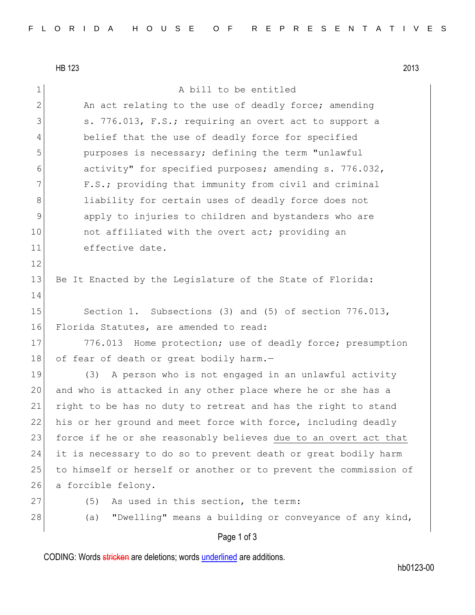12

14

HB 123 2013 1 a bill to be entitled 2 An act relating to the use of deadly force; amending 3 S. 776.013, F.S.; requiring an overt act to support a 4 belief that the use of deadly force for specified 5 purposes is necessary; defining the term "unlawful 6 activity" for specified purposes; amending s. 776.032, 7 F.S.; providing that immunity from civil and criminal 8 all ability for certain uses of deadly force does not 9 apply to injuries to children and bystanders who are 10 **not affiliated with the overt act;** providing an 11 effective date. 13 Be It Enacted by the Legislature of the State of Florida: 15 Section 1. Subsections (3) and (5) of section 776.013, 16 Florida Statutes, are amended to read: 17 776.013 Home protection; use of deadly force; presumption 18 of fear of death or great bodily harm.-19 (3) A person who is not engaged in an unlawful activity 20 and who is attacked in any other place where he or she has a 21 right to be has no duty to retreat and has the right to stand 22 his or her ground and meet force with force, including deadly 23 force if he or she reasonably believes due to an overt act that 24 it is necessary to do so to prevent death or great bodily harm 25 to himself or herself or another or to prevent the commission of 26 a forcible felony. 27 (5) As used in this section, the term: 28 (a) "Dwelling" means a building or conveyance of any kind,

## Page 1 of 3

CODING: Words stricken are deletions; words underlined are additions.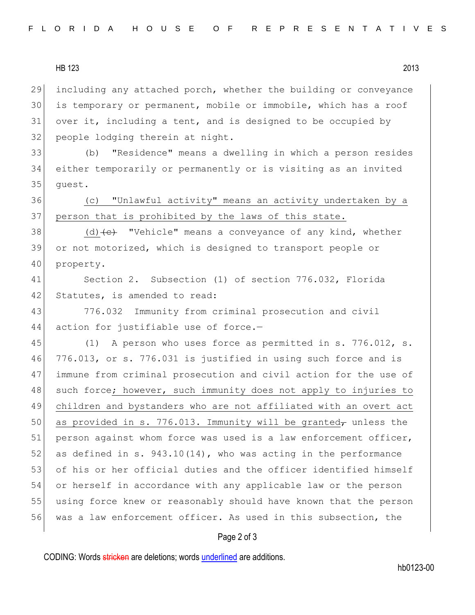HB 123 2013

 including any attached porch, whether the building or conveyance is temporary or permanent, mobile or immobile, which has a roof over it, including a tent, and is designed to be occupied by 32 people lodging therein at night.

33 (b) "Residence" means a dwelling in which a person resides 34 either temporarily or permanently or is visiting as an invited 35 guest.

36 (c) "Unlawful activity" means an activity undertaken by a 37 person that is prohibited by the laws of this state.

38 (d)  $\left($ e $\right)$  "Vehicle" means a conveyance of any kind, whether 39 or not motorized, which is designed to transport people or 40 property.

41 Section 2. Subsection (1) of section 776.032, Florida 42 Statutes, is amended to read:

43 776.032 Immunity from criminal prosecution and civil 44 action for justifiable use of force.-

45 (1) A person who uses force as permitted in s. 776.012, s. 46 776.013, or s. 776.031 is justified in using such force and is 47 immune from criminal prosecution and civil action for the use of 48 such force; however, such immunity does not apply to injuries to 49 children and bystanders who are not affiliated with an overt act 50 as provided in s. 776.013. Immunity will be granted<sub> $\tau$ </sub> unless the 51| person against whom force was used is a law enforcement officer, 52 as defined in s.  $943.10(14)$ , who was acting in the performance 53 of his or her official duties and the officer identified himself 54 or herself in accordance with any applicable law or the person 55 using force knew or reasonably should have known that the person 56 was a law enforcement officer. As used in this subsection, the

## Page 2 of 3

CODING: Words stricken are deletions; words underlined are additions.